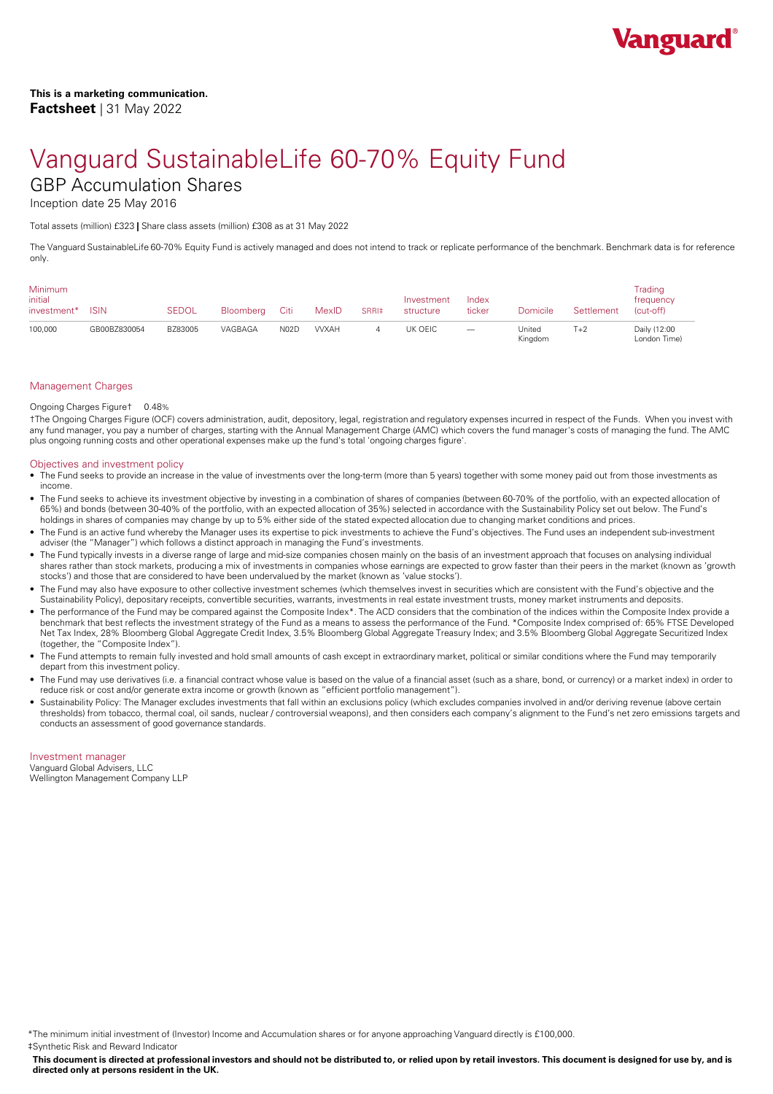

Inception date 25 May 2016

Total assets (million) £323 **|** Share class assets (million) £308 as at 31 May 2022

The Vanguard SustainableLife 60-70% Equity Fund is actively managed and does not intend to track or replicate performance of the benchmark. Benchmark data is for reference only.

| Minimum<br>initial<br>investment* | <b>ISIN</b>  | <b>SEDOL</b> | Bloomberg | Citi | MexID       | SRRI‡ | Investment<br>structure | Index<br>ticker                 | Domicile          | Settlement | Trading<br>frequency<br>(cut-off) |
|-----------------------------------|--------------|--------------|-----------|------|-------------|-------|-------------------------|---------------------------------|-------------------|------------|-----------------------------------|
| 100,000                           | GB00BZ830054 | BZ83005      | VAGBAGA   | N02D | <b>WXAH</b> |       | UK OEIC                 | $\hspace{0.1mm}-\hspace{0.1mm}$ | United<br>Kinadom | Г+2        | Daily (12:00<br>London Time)      |

## Management Charges

#### Ongoing Charges Figure† 0.48%

†The Ongoing Charges Figure (OCF) covers administration, audit, depository, legal, registration and regulatory expenses incurred in respect of the Funds. When you invest with any fund manager, you pay a number of charges, starting with the Annual Management Charge (AMC) which covers the fund manager's costs of managing the fund. The AMC plus ongoing running costs and other operational expenses make up the fund's total 'ongoing charges figure'.

#### Objectives and investment policy

- The Fund seeks to provide an increase in the value of investments over the long-term (more than 5 years) together with some money paid out from those investments as
- income. The Fund seeks to achieve its investment objective by investing in <sup>a</sup> combination of shares ofcompanies (between 60-70% of the portfolio, with an expected allocation of 65%) and bonds (between 30-40% of the portfolio, with an expected allocation of 35%) selected in accordance with the Sustainability Policy set out below. The Fund's holdings in shares of companies may change by up to 5% either side of the stated expected allocation due to changing market conditions and prices.
- The Fund is an active fund whereby the Manager uses its expertise to pick investments to achieve the Fund's objectives. The Fund uses an independent sub-investment adviser (the "Manager") which follows a distinct approach in managing the Fund's investments.
- The Fund typically invests in a diverse range of large and mid-size companies chosen mainly on the basis of an investment approach that focuses on analysing individual shares rather than stock markets, producing a mix of investments in companies whose earnings are expected to grow faster than their peers in the market (known as 'growth stocks') and those that are considered to have been undervalued by the market (known as 'value stocks').
- The Fund may also have exposure to other collective investment schemes (which themselves invest in securities which are consistent with the Fund's objective and the Sustainability Policy), depositary receipts, convertible securities, warrants, investments in real estate investment trusts, money market instruments and deposits.
- The performance of the Fund may be compared against the Composite Index\*. The ACD considers that the combination of the indices within the Composite Index provide a benchmark that best reflects the investment strategy of the Fund as a means to assess the performance of the Fund. \*Composite Index comprised of: 65% FTSE Developed Net Tax Index, 28% Bloomberg Global Aggregate Credit Index, 3.5% Bloomberg Global Aggregate Treasury Index; and 3.5% Bloomberg Global Aggregate Securitized Index (together, the "Composite Index").
- The Fund attempts to remain fully invested and hold small amounts of cash except in extraordinary market, political or similar conditions where the Fund may temporarily depart from this investment policy.
- The Fund may use derivatives (i.e. a financial contract whose value is based on the value of a financial asset (such as a share, bond, or currency) or a market index) in order to reduce risk or cost and/or generate extra income or growth (known as "efficient portfolio management").
- Sustainability Policy: The Manager excludes investments that fall within an exclusions policy (which excludes companies involved in and/or deriving revenue (above certain thresholds) from tobacco, thermal coal, oil sands, nuclear / controversial weapons), and then considers each company's alignment to the Fund's net zero emissions targets and conducts an assessment of good governance standards.

## Investment manager

Vanguard Global Advisers, LLC Wellington Management Company LLP

\*The minimum initial investment of (Investor) Income and Accumulation shares or for anyone approaching Vanguard directly is £100,000. ‡Synthetic Risk and Reward Indicator

This document is directed at professional investors and should not be distributed to, or relied upon by retail investors. This document is designed for use by, and is **directed only atpersons resident in the UK.**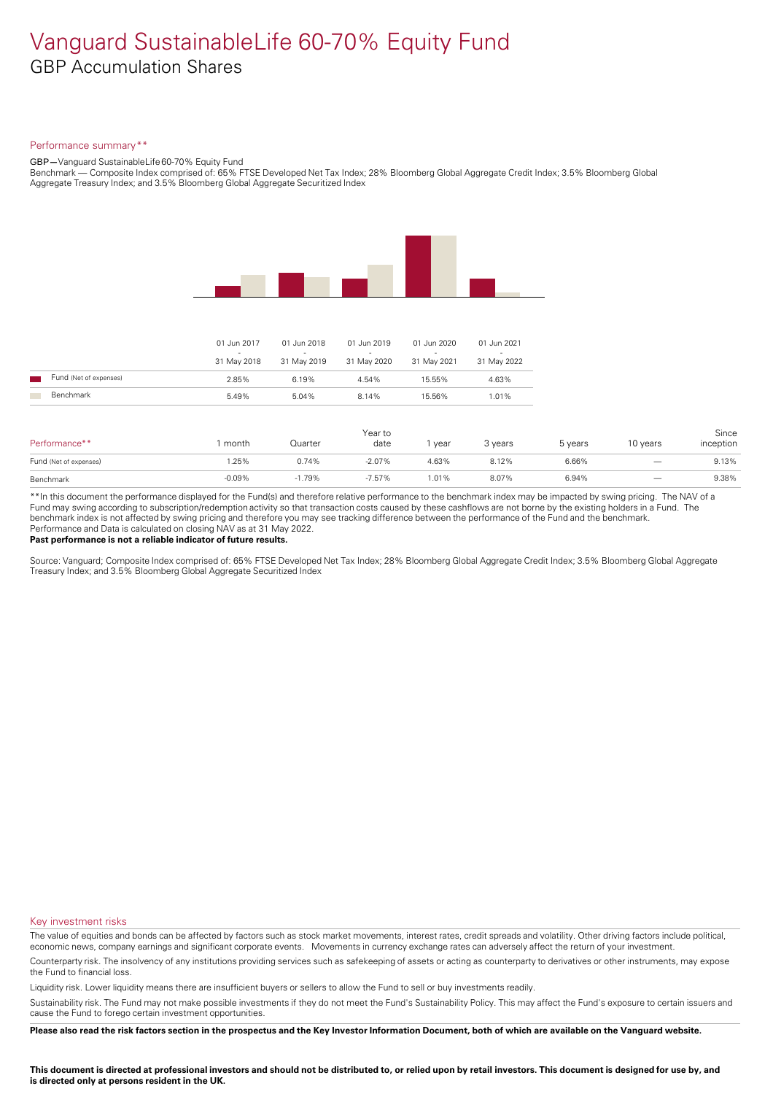### Performance summary\*\*

GBP**—**Vanguard SustainableLife 60-70% Equity Fund

Benchmark — Composite Index comprised of: 65% FTSE Developed Net Tax Index; 28% Bloomberg Global Aggregate Credit Index; 3.5% Bloomberg Global Aggregate Treasury Index; and 3.5% Bloomberg Global Aggregate Securitized Index



| Performance**          | month    | Quarter  | Year to<br>date | year  | 3 years | 5 years | 10 years                 | Since<br>inception |
|------------------------|----------|----------|-----------------|-------|---------|---------|--------------------------|--------------------|
| Fund (Net of expenses) | .25%     | 0.74%    | $-2.07%$        | 4.63% | 8.12%   | 6.66%   | $\overline{\phantom{m}}$ | 9.13%              |
| Benchmark              | $-0.09%$ | $-1.79%$ | $-7.57%$        | 1.01% | 8.07%   | 6.94%   |                          | 9.38%              |

\*\*In this document the performance displayed for the Fund(s) and therefore relative performance to the benchmark index may be impacted by swing pricing. The NAV of a Fund may swing according to subscription/redemption activity so that transaction costs caused by these cashflows are notborne by the existing holders in a Fund. The benchmark index is not affected by swing pricing and therefore you may see tracking difference between the performance of the Fund and the benchmark. Performance and Data is calculated on closing NAV as at 31 May 2022.

#### **Past performance is not a reliable indicator of future results.**

Source: Vanguard; Composite Index comprised of: 65% FTSE Developed Net Tax Index; 28% Bloomberg Global Aggregate Credit Index; 3.5% Bloomberg Global Aggregate Treasury Index; and 3.5% Bloomberg Global Aggregate Securitized Index

#### Key investment risks

The value of equities and bonds can be affected by factors such as stock market movements, interest rates, credit spreads and volatility. Other driving factors include political, economic news, company earnings and significant corporate events. Movements in currency exchange rates can adversely affect the return of your investment.

Counterparty risk. The insolvency ofany institutions providing services such as safekeeping of assets or acting as counterparty to derivatives or other instruments, may expose the Fund to financial loss.

Liquidity risk. Lower liquidity means there are insufficient buyers or sellers to allow the Fund to sell or buy investments readily.

Sustainability risk. The Fund may not make possible investments if they do not meet the Fund's Sustainability Policy. This may affect the Fund's exposure to certain issuers and cause the Fund to forego certain investment opportunities.

Please also read the risk factors section in the prospectus and the Key Investor Information Document, both of which are available on the Vanguard website.

This document is directed at professional investors and should not be distributed to, or relied upon by retail investors. This document is designed for use by, and **is** directed only at persons resident in the UK.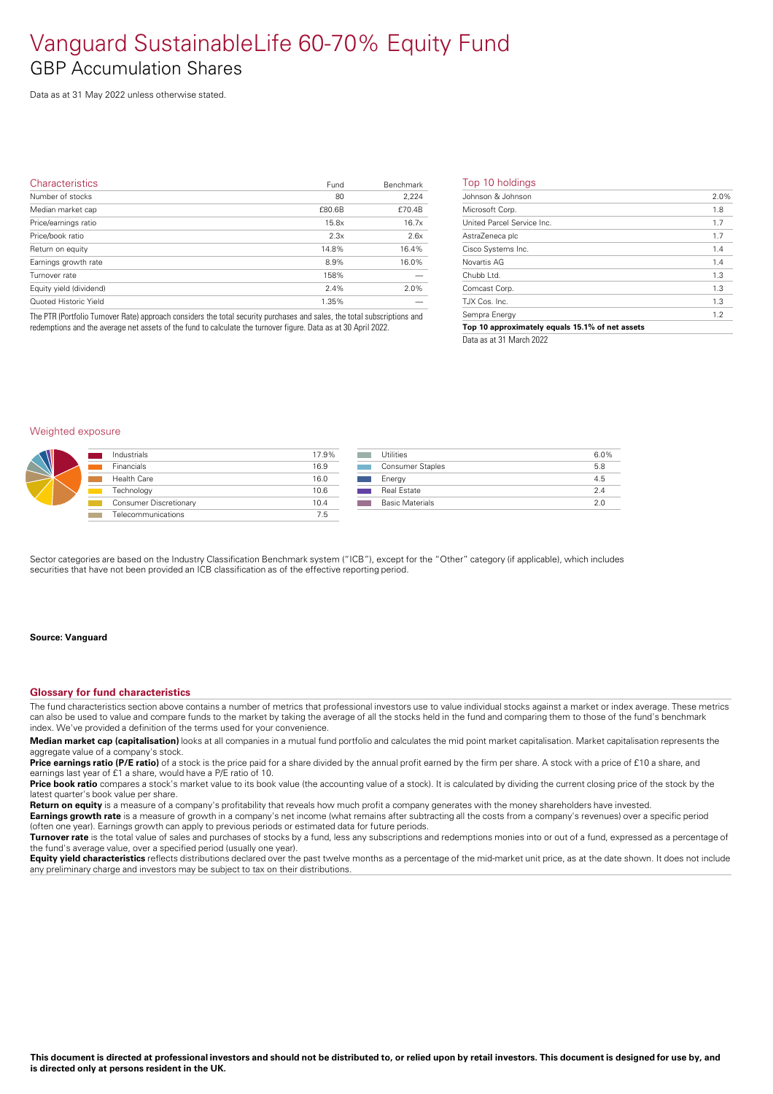Data as at 31 May 2022 unless otherwise stated.

| <b>Characteristics</b>  | Fund   | Benchmark | Top   |
|-------------------------|--------|-----------|-------|
| Number of stocks        | 80     | 2,224     | John  |
| Median market cap       | £80.6B | £70.4B    | Micro |
| Price/earnings ratio    | 15.8x  | 16.7x     | Unite |
| Price/book ratio        | 2.3x   | 2.6x      | Astra |
| Return on equity        | 14.8%  | 16.4%     | Cisco |
| Earnings growth rate    | 8.9%   | 16.0%     | Nova  |
| Turnover rate           | 158%   |           | Chub  |
| Equity yield (dividend) | 2.4%   | 2.0%      | Com   |
| Quoted Historic Yield   | 1.35%  |           | TJX ( |
|                         |        |           |       |

The PTR (Portfolio Turnover Rate) approach considers the total security purchases and sales, the total subscriptions and redemptions and the average net assets of the fund to calculate the turnover figure. Data as at 30 April 2022.

## Top 10 holdings

| Johnson & Johnson                               | 2.0% |
|-------------------------------------------------|------|
| Microsoft Corp.                                 | 1.8  |
| United Parcel Service Inc.                      | 1.7  |
| AstraZeneca plc                                 | 1.7  |
| Cisco Systems Inc.                              | 1.4  |
| Novartis AG                                     | 1.4  |
| Chubb Ltd.                                      | 1.3  |
| Comcast Corp.                                   | 1.3  |
| T.JX Cos. Inc.                                  | 1.3  |
| Sempra Energy                                   | 1.2  |
| Top 10 approximately equals 15.1% of net assets |      |
|                                                 |      |

Data as at 31 March 2022

## Weighted exposure

|   | Industrials            | 17.9% | Utilities               | 6.0% |
|---|------------------------|-------|-------------------------|------|
| W | <b>Financials</b>      | 16.9  | <b>Consumer Staples</b> | 5.8  |
|   | Health Care            | 16.0  | Energy                  | 4.5  |
|   | Technology             | 10.6  | <b>Real Estate</b>      | 2.4  |
|   | Consumer Discretionary | 10.4  | <b>Basic Materials</b>  | 2.0  |
|   | Telecommunications     | 7.5   |                         |      |

Sector categories are based on the Industry Classification Benchmark system ("ICB"), except for the "Other" category (if applicable), which includes securities that have not been provided an ICB classification as of the effective reporting period.

#### **Source: Vanguard**

#### **Glossary for fund characteristics**

The fund characteristics section above contains a number of metrics that professional investors use to value individual stocks against a market or index average. These metrics can also be used to value and compare funds to the market by taking the average of all the stocks held in the fund and comparing them to those of the fund's benchmark index. We've provided a definition of the terms used for your convenience.

**Median market cap (capitalisation)** looks at all companies in a mutual fund portfolio and calculates the mid point market capitalisation. Market capitalisation represents the aggregate value of a company's stock.

**Price earnings ratio (P/E ratio)** of a stock is the price paid for a share divided by the annual profit earned by the firm per share. A stock with a price of £10 a share, and earnings last year of £1 a share, would have a P/E ratio of 10.

**Price book ratio** compares a stock's market value to its book value (the accounting value of a stock). It is calculated by dividing the current closing price of the stock by the latest quarter's book value per share.

**Return on equity** is a measure of a company's profitability that reveals how much profit a company generates with the money shareholders have invested.

**Earnings growth rate** is a measure of growth in a company's net income (what remains after subtracting all the costs from a company's revenues) over a specific period (often one year). Earnings growth can apply to previous periods or estimated data for future periods.

**Turnover rate** is the total value of sales and purchases of stocks by a fund, less any subscriptions and redemptions monies into or out of a fund, expressed as a percentage of the fund's average value, over a specified period (usually one year).

**Equity yield characteristics** reflects distributions declared over the past twelve months as a percentage of the mid-market unit price, as at the date shown. It does not include any preliminary charge and investors may be subject to tax on their distributions.